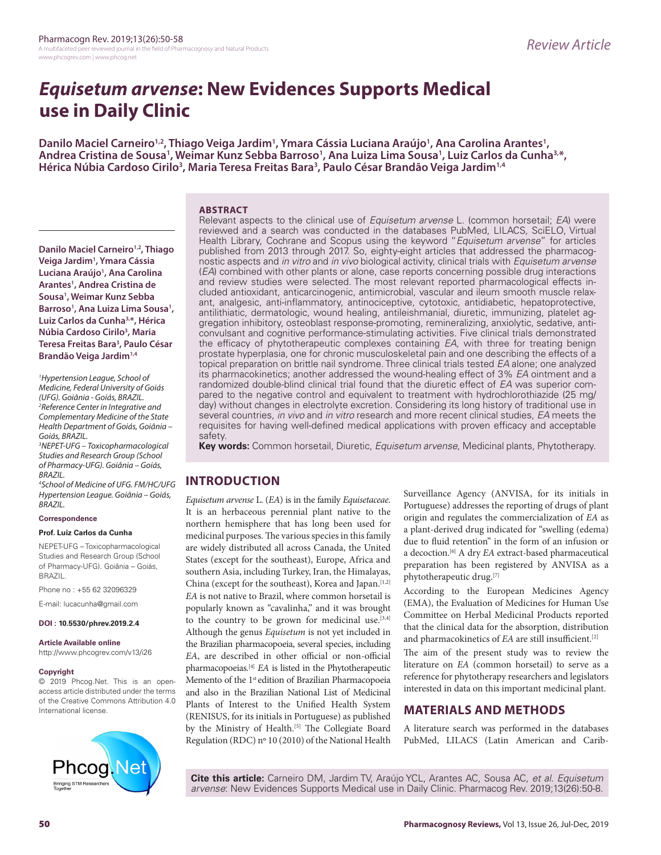# *Equisetum arvense***: New Evidences Supports Medical use in Daily Clinic**

Danilo Maciel Carneiro<sup>1,2</sup>, Thiago Veiga Jardim<sup>1</sup>, Ymara Cássia Luciana Araújo<sup>1</sup>, Ana Carolina Arantes<sup>1</sup> Danilo Maciel Carneiro<sup>1,2</sup>, Thiago Veiga Jardim<sup>1</sup>, Ymara Cássia Luciana Araújo<sup>1</sup>, Ana Carolina Arantes<sup>1</sup>,<br>Andrea Cristina de Sousa<sup>1</sup>, Weimar Kunz Sebba Barroso<sup>1</sup>, Ana Luiza Lima Sousa<sup>1</sup>, Luiz Carlos da Cunha<sup>3,</sup>\*, **Hérica Núbia Cardoso Cirilo3 , Maria Teresa Freitas Bara3 , Paulo César Brandão Veiga Jardim1,4**

### **ABSTRACT**

**Danilo Maciel Carneiro<sup>1,2</sup>, Thiago Veiga Jardim1 , Ymara Cássia**  Luciana Araújo<sup>1</sup>, Ana Carolina **Arantes1 , Andrea Cristina de Sousa1 , Weimar Kunz Sebba**  Barroso<sup>1</sup>, Ana Luiza Lima Sousa<sup>1</sup>, **Luiz Carlos da Cunha3,\*, Hérica Núbia Cardoso Cirilo3 , Maria Teresa Freitas Bara3 , Paulo César Brandão Veiga Jardim1,4**

*1 Hypertension League, School of Medicine, Federal University of Goiás (UFG). Goiânia - Goiás, BRAZIL. 2 Reference Center in Integrative and Complementary Medicine of the State Health Department of Goiás, Goiânia – Goiás, BRAZIL.* 

*3 NEPET-UFG – Toxicopharmacological Studies and Research Group (School of Pharmacy-UFG). Goiânia – Goiás, BRAZIL.* 

*4 School of Medicine of UFG. FM/HC/UFG Hypertension League. Goiânia – Goiás, BRAZIL.*

#### **Correspondence**

#### **Prof. Luiz Carlos da Cunha**

NEPET-UFG – Toxicopharmacological Studies and Research Group (School of Pharmacy-UFG). Goiânia – Goiás, BRAZIL.

Phone no : +55 62 32096329

E-mail: lucacunha@gmail.com

#### **DOI : 10.5530/phrev.2019.2.4**

**Article Available online**  http://www.phcogrev.com/v13/i26

# **Copyright**

© 2019 Phcog.Net. This is an openaccess article distributed under the terms of the Creative Commons Attribution 4.0 International license.



Relevant aspects to the clinical use of *Equisetum arvense* L. (common horsetail; *EA*) were reviewed and a search was conducted in the databases PubMed, LILACS, SciELO, Virtual Health Library, Cochrane and Scopus using the keyword "*Equisetum arvense*" for articles published from 2013 through 2017. So, eighty-eight articles that addressed the pharmacognostic aspects and *in vitro* and *in vivo* biological activity, clinical trials with *Equisetum arvense* (*EA*) combined with other plants or alone, case reports concerning possible drug interactions and review studies were selected. The most relevant reported pharmacological effects included antioxidant, anticarcinogenic, antimicrobial, vascular and ileum smooth muscle relaxant, analgesic, anti-inflammatory, antinociceptive, cytotoxic, antidiabetic, hepatoprotective, antilithiatic, dermatologic, wound healing, antileishmanial, diuretic, immunizing, platelet aggregation inhibitory, osteoblast response-promoting, remineralizing, anxiolytic, sedative, anticonvulsant and cognitive performance-stimulating activities. Five clinical trials demonstrated the efficacy of phytotherapeutic complexes containing *EA*, with three for treating benign prostate hyperplasia, one for chronic musculoskeletal pain and one describing the effects of a topical preparation on brittle nail syndrome. Three clinical trials tested *EA* alone; one analyzed its pharmacokinetics; another addressed the wound-healing effect of 3% *EA* ointment and a randomized double-blind clinical trial found that the diuretic effect of *EA* was superior compared to the negative control and equivalent to treatment with hydrochlorothiazide (25 mg/ day) without changes in electrolyte excretion. Considering its long history of traditional use in several countries, *in vivo* and *in vitro* research and more recent clinical studies, *EA* meets the requisites for having well-defined medical applications with proven efficacy and acceptable safety.

**Key words:** Common horsetail, Diuretic, *Equisetum arvense,* Medicinal plants, Phytotherapy.

# **INTRODUCTION**

*Equisetum arvense* L. (*EA*) is in the family *Equisetaceae*. It is an herbaceous perennial plant native to the northern hemisphere that has long been used for medicinal purposes. The various species in this family are widely distributed all across Canada, the United States (except for the southeast), Europe, Africa and southern Asia, including Turkey, Iran, the Himalayas, China (except for the southeast), Korea and Japan.<sup>[1,2]</sup> *EA* is not native to Brazil, where common horsetail is popularly known as "cavalinha," and it was brought to the country to be grown for medicinal use.<sup>[3,4]</sup> Although the genus *Equisetum* is not yet included in the Brazilian pharmacopoeia, several species, including *EA*, are described in other official or non-official pharmacopoeias.[4] *EA* is listed in the Phytotherapeutic Memento of the 1<sup>st</sup> edition of Brazilian Pharmacopoeia and also in the Brazilian National List of Medicinal Plants of Interest to the Unified Health System (RENISUS, for its initials in Portuguese) as published by the Ministry of Health.<sup>[5]</sup> The Collegiate Board Regulation (RDC) nº 10 (2010) of the National Health Surveillance Agency (ANVISA, for its initials in Portuguese) addresses the reporting of drugs of plant origin and regulates the commercialization of *EA* as a plant-derived drug indicated for "swelling (edema) due to fluid retention" in the form of an infusion or a decoction.[6] A dry *EA* extract-based pharmaceutical preparation has been registered by ANVISA as a phytotherapeutic drug.[7]

According to the European Medicines Agency (EMA), the Evaluation of Medicines for Human Use Committee on Herbal Medicinal Products reported that the clinical data for the absorption, distribution and pharmacokinetics of *EA* are still insufficient.[2]

The aim of the present study was to review the literature on *EA* (common horsetail) to serve as a reference for phytotherapy researchers and legislators interested in data on this important medicinal plant.

# **MATERIALS AND METHODS**

A literature search was performed in the databases PubMed, LILACS (Latin American and Carib-

**Cite this article:** Carneiro DM, Jardim TV, Araújo YCL, Arantes AC, Sousa AC, *et al*. *Equisetum arvense*: New Evidences Supports Medical use in Daily Clinic. Pharmacog Rev. 2019;13(26):50-8.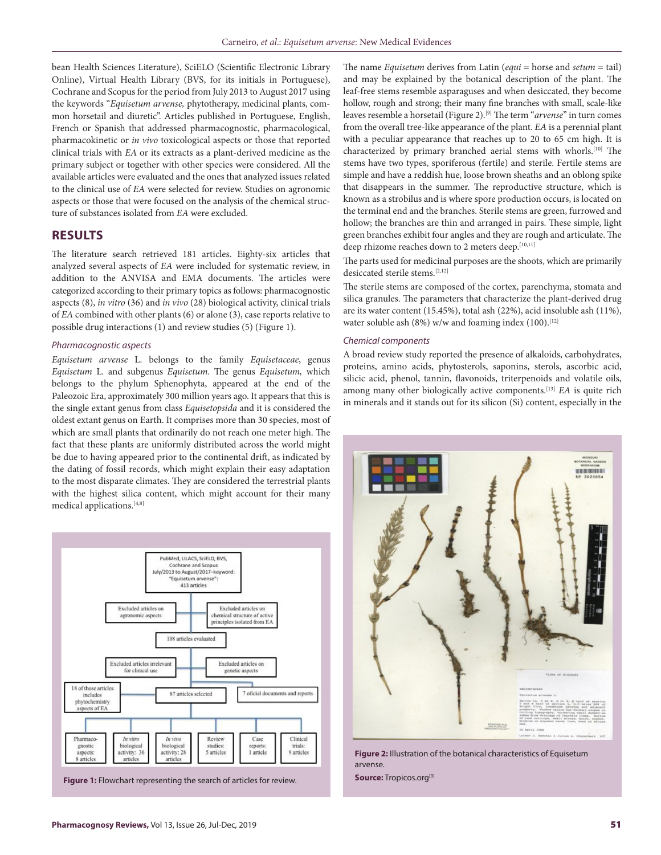bean Health Sciences Literature), SciELO (Scientific Electronic Library Online), Virtual Health Library (BVS, for its initials in Portuguese), Cochrane and Scopus for the period from July 2013 to August 2017 using the keywords "*Equisetum arvense,* phytotherapy, medicinal plants, common horsetail and diuretic". Articles published in Portuguese, English, French or Spanish that addressed pharmacognostic, pharmacological, pharmacokinetic or *in vivo* toxicological aspects or those that reported clinical trials with *EA* or its extracts as a plant-derived medicine as the primary subject or together with other species were considered. All the available articles were evaluated and the ones that analyzed issues related to the clinical use of *EA* were selected for review. Studies on agronomic aspects or those that were focused on the analysis of the chemical structure of substances isolated from *EA* were excluded.

# **RESULTS**

The literature search retrieved 181 articles. Eighty-six articles that analyzed several aspects of *EA* were included for systematic review, in addition to the ANVISA and EMA documents. The articles were categorized according to their primary topics as follows: pharmacognostic aspects (8), *in vitro* (36) and *in vivo* (28) biological activity, clinical trials of *EA* combined with other plants (6) or alone (3), case reports relative to possible drug interactions (1) and review studies (5) (Figure 1).

#### *Pharmacognostic aspects*

*Equisetum arvense* L. belongs to the family *Equisetaceae*, genus *Equisetum* L. and subgenus *Equisetum*. The genus *Equisetum,* which belongs to the phylum Sphenophyta, appeared at the end of the Paleozoic Era, approximately 300 million years ago. It appears that this is the single extant genus from class *Equisetopsida* and it is considered the oldest extant genus on Earth. It comprises more than 30 species, most of which are small plants that ordinarily do not reach one meter high. The fact that these plants are uniformly distributed across the world might be due to having appeared prior to the continental drift, as indicated by the dating of fossil records, which might explain their easy adaptation to the most disparate climates. They are considered the terrestrial plants with the highest silica content, which might account for their many medical applications.[4,8]



**Figure 1:** Flowchart representing the search of articles for review.

The name *Equisetum* derives from Latin (*equi* = horse and *setum* = tail) and may be explained by the botanical description of the plant. The leaf-free stems resemble asparaguses and when desiccated, they become hollow, rough and strong; their many fine branches with small, scale-like leaves resemble a horsetail (Figure 2).[9] The term "*arvense*" in turn comes from the overall tree-like appearance of the plant. *EA* is a perennial plant with a peculiar appearance that reaches up to 20 to 65 cm high. It is characterized by primary branched aerial stems with whorls.[10] The stems have two types, sporiferous (fertile) and sterile. Fertile stems are simple and have a reddish hue, loose brown sheaths and an oblong spike that disappears in the summer. The reproductive structure, which is known as a strobilus and is where spore production occurs, is located on the terminal end and the branches. Sterile stems are green, furrowed and hollow; the branches are thin and arranged in pairs. These simple, light green branches exhibit four angles and they are rough and articulate. The deep rhizome reaches down to 2 meters deep.[10,11]

The parts used for medicinal purposes are the shoots, which are primarily desiccated sterile stems.[2,12]

The sterile stems are composed of the cortex, parenchyma, stomata and silica granules. The parameters that characterize the plant-derived drug are its water content (15.45%), total ash (22%), acid insoluble ash (11%), water soluble ash  $(8\%)$  w/w and foaming index  $(100)$ .<sup>[12]</sup>

#### *Chemical components*

A broad review study reported the presence of alkaloids, carbohydrates, proteins, amino acids, phytosterols, saponins, sterols, ascorbic acid, silicic acid, phenol, tannin, flavonoids, triterpenoids and volatile oils, among many other biologically active components.[13] *EA* is quite rich in minerals and it stands out for its silicon (Si) content, especially in the



**Figure 2:** Illustration of the botanical characteristics of Equisetum arvense. **Source:** Tropicos.org<sup>[9]</sup>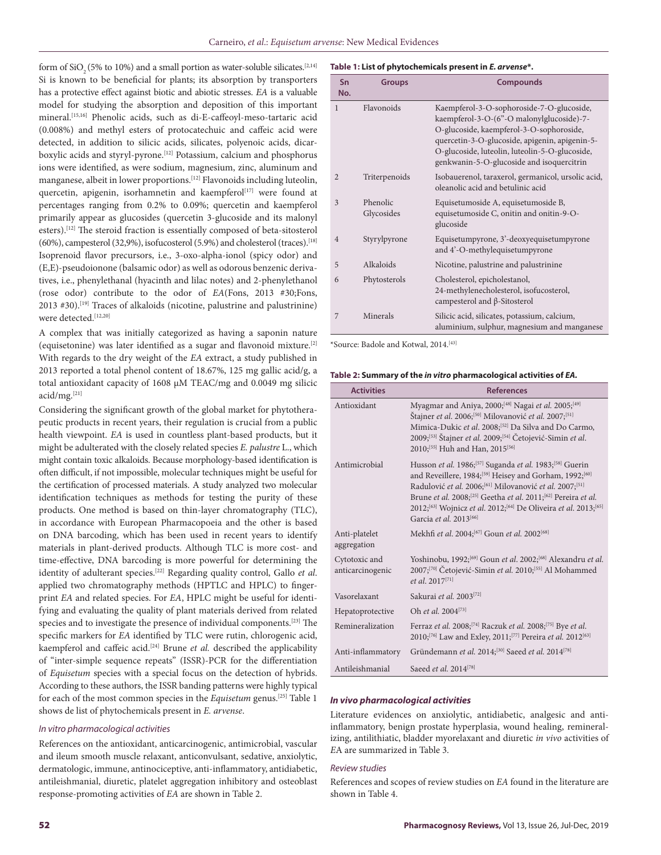form of  $SiO<sub>2</sub>(5%$  to 10%) and a small portion as water-soluble silicates.<sup>[2,14]</sup> Si is known to be beneficial for plants; its absorption by transporters has a protective effect against biotic and abiotic stresses. *EA* is a valuable model for studying the absorption and deposition of this important mineral.[15,16] Phenolic acids, such as di-E-caffeoyl-meso-tartaric acid (0.008%) and methyl esters of protocatechuic and caffeic acid were detected, in addition to silicic acids, silicates, polyenoic acids, dicarboxylic acids and styryl-pyrone.[12] Potassium, calcium and phosphorus ions were identified, as were sodium, magnesium, zinc, aluminum and manganese, albeit in lower proportions.[12] Flavonoids including luteolin, quercetin, apigenin, isorhamnetin and kaempferol<sup>[17]</sup> were found at percentages ranging from 0.2% to 0.09%; quercetin and kaempferol primarily appear as glucosides (quercetin 3-glucoside and its malonyl esters).<sup>[12]</sup> The steroid fraction is essentially composed of beta-sitosterol (60%), campesterol (32,9%), isofucosterol (5.9%) and cholesterol (traces).<sup>[18]</sup> Isoprenoid flavor precursors, i.e., 3-oxo-alpha-ionol (spicy odor) and (E,E)-pseudoionone (balsamic odor) as well as odorous benzenic derivatives, i.e., phenylethanal (hyacinth and lilac notes) and 2-phenylethanol (rose odor) contribute to the odor of *EA*(Fons, 2013 #30;Fons, 2013 #30).<sup>[19]</sup> Traces of alkaloids (nicotine, palustrine and palustrinine) were detected.[12,20]

A complex that was initially categorized as having a saponin nature (equisetonine) was later identified as a sugar and flavonoid mixture.[2] With regards to the dry weight of the *EA* extract, a study published in 2013 reported a total phenol content of 18.67%, 125 mg gallic acid/g, a total antioxidant capacity of 1608 µM TEAC/mg and 0.0049 mg silicic acid/mg.[21]

Considering the significant growth of the global market for phytotherapeutic products in recent years, their regulation is crucial from a public health viewpoint. *EA* is used in countless plant-based products, but it might be adulterated with the closely related species *E. palustre* L., which might contain toxic alkaloids. Because morphology-based identification is often difficult, if not impossible, molecular techniques might be useful for the certification of processed materials. A study analyzed two molecular identification techniques as methods for testing the purity of these products. One method is based on thin-layer chromatography (TLC), in accordance with European Pharmacopoeia and the other is based on DNA barcoding, which has been used in recent years to identify materials in plant-derived products. Although TLC is more cost- and time-effective, DNA barcoding is more powerful for determining the identity of adulterant species.[22] Regarding quality control, Gallo *et al*. applied two chromatography methods (HPTLC and HPLC) to fingerprint *EA* and related species. For *EA*, HPLC might be useful for identifying and evaluating the quality of plant materials derived from related species and to investigate the presence of individual components.[23] The specific markers for *EA* identified by TLC were rutin, chlorogenic acid, kaempferol and caffeic acid.[24] Brune *et al.* described the applicability of "inter-simple sequence repeats" (ISSR)-PCR for the differentiation of *Equisetum* species with a special focus on the detection of hybrids. According to these authors, the ISSR banding patterns were highly typical for each of the most common species in the *Equisetum* genus.[25] Table 1 shows de list of phytochemicals present in *E. arvense*.

#### *In vitro pharmacological activities*

References on the antioxidant, anticarcinogenic, antimicrobial, vascular and ileum smooth muscle relaxant, anticonvulsant, sedative, anxiolytic, dermatologic, immune, antinociceptive, anti-inflammatory, antidiabetic, antileishmanial, diuretic, platelet aggregation inhibitory and osteoblast response-promoting activities of *EA* are shown in Table 2.

#### **Table 1: List of phytochemicals present in** *E. arvense***\*.**

| Sn<br>No.      | <b>Groups</b>          | <b>Compounds</b>                                                                                                                                                                                                                                                                    |
|----------------|------------------------|-------------------------------------------------------------------------------------------------------------------------------------------------------------------------------------------------------------------------------------------------------------------------------------|
| 1              | Flavonoids             | Kaempferol-3-O-sophoroside-7-O-glucoside,<br>kaempferol-3-O-(6"-O malonylglucoside)-7-<br>O-glucoside, kaempferol-3-O-sophoroside,<br>quercetin-3-O-glucoside, apigenin, apigenin-5-<br>O-glucoside, luteolin, luteolin-5-O-glucoside,<br>genkwanin-5-O-glucoside and isoquercitrin |
| $\overline{2}$ | Triterpenoids          | Isobauerenol, taraxerol, germanicol, ursolic acid,<br>oleanolic acid and betulinic acid                                                                                                                                                                                             |
| 3              | Phenolic<br>Glycosides | Equisetumoside A, equisetumoside B,<br>equisetumoside C, onitin and onitin-9-O-<br>glucoside                                                                                                                                                                                        |
| $\overline{4}$ | Styrylpyrone           | Equisetumpyrone, 3'-deoxyequisetumpyrone<br>and 4'-O-methylequisetumpyrone                                                                                                                                                                                                          |
| 5              | Alkaloids              | Nicotine, palustrine and palustrinine                                                                                                                                                                                                                                               |
| 6              | Phytosterols           | Cholesterol, epicholestanol,<br>24-methylenecholesterol, isofucosterol,<br>campesterol and $\beta$ -Sitosterol                                                                                                                                                                      |
| 7              | Minerals               | Silicic acid, silicates, potassium, calcium,<br>aluminium, sulphur, magnesium and manganese                                                                                                                                                                                         |

\*Source: Badole and Kotwal, 2014.[43]

**Table 2: Summary of the** *in vitro* **pharmacological activities of** *EA.*

| <b>Activities</b>                 | <b>References</b>                                                                                                                                                                                                                                                                                                                                                                                                                                                                          |
|-----------------------------------|--------------------------------------------------------------------------------------------------------------------------------------------------------------------------------------------------------------------------------------------------------------------------------------------------------------------------------------------------------------------------------------------------------------------------------------------------------------------------------------------|
| Antioxidant                       | Myagmar and Aniya, 2000; <sup>[48]</sup> Nagai et al. 2005; <sup>[49]</sup><br>Štajner et al. 2006; <sup>[50]</sup> Milovanović et al. 2007; <sup>[51]</sup><br>Mimica-Dukic et al. 2008; <sup>[52]</sup> Da Silva and Do Carmo,<br>2009; <sup>[53]</sup> Štajner et al. 2009; <sup>[54]</sup> Četojević-Simin et al.<br>2010;[55] Huh and Han, 2015 <sup>[56]</sup>                                                                                                                       |
| Antimicrobial                     | Husson et al. 1986; <sup>[57]</sup> Suganda et al. 1983; <sup>[58]</sup> Guerin<br>and Reveillere, 1984; <sup>[59]</sup> Heisey and Gorham, 1992; <sup>[60]</sup><br>Radulović et al. 2006; <sup>[61]</sup> Milovanović et al. 2007; <sup>[51]</sup><br>Brune et al. 2008; <sup>[25]</sup> Geetha et al. 2011; <sup>[62]</sup> Pereira et al.<br>2012; <sup>[63]</sup> Wojnicz et al. 2012; <sup>[64]</sup> De Oliveira et al. 2013; <sup>[65]</sup><br>Garcia et al. 2013 <sup>[66]</sup> |
| Anti-platelet<br>aggregation      | Mekhfi et al. 2004; <sup>[67]</sup> Goun et al. 2002 <sup>[68]</sup>                                                                                                                                                                                                                                                                                                                                                                                                                       |
| Cytotoxic and<br>anticarcinogenic | Yoshinobu, 1992; <sup>[69]</sup> Goun et al. 2002; <sup>[68]</sup> Alexandru et al.<br>2007; <sup>[70]</sup> Četojević-Simin et al. 2010; <sup>[55]</sup> Al Mohammed<br>et al. 2017 <sup>[71]</sup>                                                                                                                                                                                                                                                                                       |
| Vasorelaxant                      | Sakurai et al. 2003 <sup>[72]</sup>                                                                                                                                                                                                                                                                                                                                                                                                                                                        |
| Hepatoprotective                  | Oh et al. 2004 <sup>[73]</sup>                                                                                                                                                                                                                                                                                                                                                                                                                                                             |
| Remineralization                  | Ferraz et al. 2008; <sup>[74]</sup> Raczuk et al. 2008; <sup>[75]</sup> Bye et al.<br>2010; <sup>[76]</sup> Law and Exley, 2011; <sup>[77]</sup> Pereira et al. 2012 <sup>[63]</sup>                                                                                                                                                                                                                                                                                                       |
| Anti-inflammatory                 | Gründemann et al. 2014; <sup>[30]</sup> Saeed et al. 2014 <sup>[78]</sup>                                                                                                                                                                                                                                                                                                                                                                                                                  |
| Antileishmanial                   | Saeed <i>et al.</i> 2014 <sup>[78]</sup>                                                                                                                                                                                                                                                                                                                                                                                                                                                   |

#### *In vivo pharmacological activities*

Literature evidences on anxiolytic, antidiabetic, analgesic and antiinflammatory, benign prostate hyperplasia, wound healing, remineralizing, antilithiatic, bladder myorelaxant and diuretic *in vivo* activities of *E*A are summarized in Table 3.

#### *Review studies*

References and scopes of review studies on *EA* found in the literature are shown in Table 4.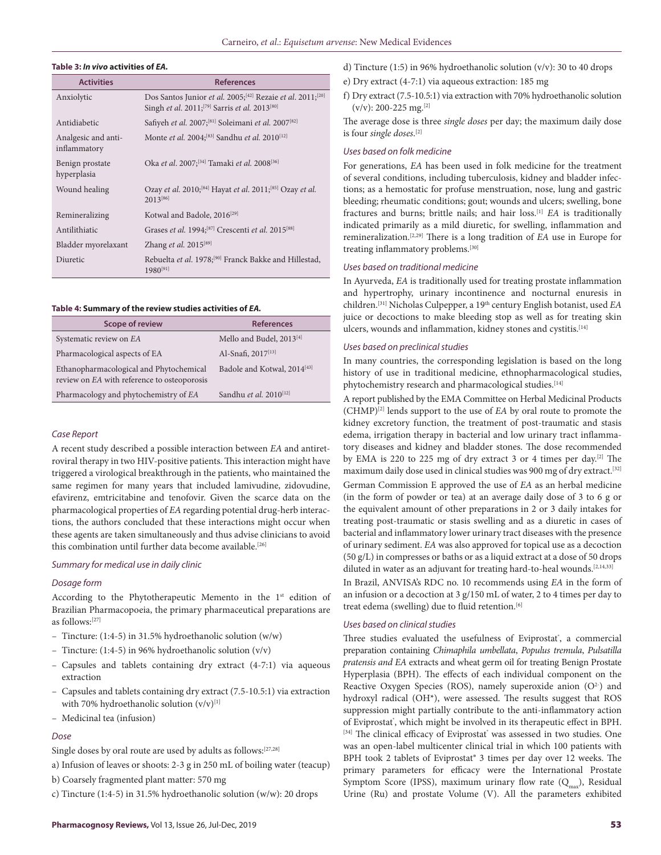#### **Table 3:** *In vivo* **activities of** *EA.*

| <b>Activities</b>                   | <b>References</b>                                                                                                                                           |
|-------------------------------------|-------------------------------------------------------------------------------------------------------------------------------------------------------------|
| Anxiolytic                          | Dos Santos Junior et al. 2005; <sup>[42]</sup> Rezaie et al. 2011; <sup>[20]</sup><br>Singh et al. 2011; <sup>[79]</sup> Sarris et al. 2013 <sup>[80]</sup> |
| Antidiabetic                        | Safiyeh et al. 2007; <sup>[81]</sup> Soleimani et al. 2007 <sup>[82]</sup>                                                                                  |
| Analgesic and anti-<br>inflammatory | Monte <i>et al.</i> 2004; <sup>[83]</sup> Sandhu <i>et al.</i> 2010 <sup>[12]</sup>                                                                         |
| Benign prostate<br>hyperplasia      | Oka et al. 2007; <sup>[34]</sup> Tamaki et al. 2008 <sup>[36]</sup>                                                                                         |
| Wound healing                       | Ozay et al. 2010; <sup>[84]</sup> Hayat et al. 2011; <sup>[85]</sup> Ozay et al.<br>$2013^{[86]}$                                                           |
| Remineralizing                      | Kotwal and Badole, 2016 <sup>[29]</sup>                                                                                                                     |
| Antilithiatic                       | Grases et al. 1994; <sup>[87]</sup> Crescenti et al. 2015 <sup>[88]</sup>                                                                                   |
| Bladder myorelaxant                 | Zhang et al. 2015[89]                                                                                                                                       |
| Diuretic                            | Rebuelta et al. 1978; <sup>[90]</sup> Franck Bakke and Hillestad,<br>$1980^{[91]}$                                                                          |

#### **Table 4: Summary of the review studies activities of** *EA.*

| <b>Scope of review</b>                                                                 | <b>References</b>                       |
|----------------------------------------------------------------------------------------|-----------------------------------------|
| Systematic review on EA                                                                | Mello and Budel, 2013 <sup>[4]</sup>    |
| Pharmacological aspects of EA                                                          | Al-Snafi, 2017 <sup>[13]</sup>          |
| Ethanopharmacological and Phytochemical<br>review on EA with reference to osteoporosis | Badole and Kotwal, 2014 <sup>[43]</sup> |
| Pharmacology and phytochemistry of EA                                                  | Sandhu et al. 2010 <sup>[12]</sup>      |

#### *Case Report*

A recent study described a possible interaction between *EA* and antiretroviral therapy in two HIV-positive patients. This interaction might have triggered a virological breakthrough in the patients, who maintained the same regimen for many years that included lamivudine, zidovudine, efavirenz, emtricitabine and tenofovir. Given the scarce data on the pharmacological properties of *EA* regarding potential drug-herb interactions, the authors concluded that these interactions might occur when these agents are taken simultaneously and thus advise clinicians to avoid this combination until further data become available.<sup>[26]</sup>

### *Summary for medical use in daily clinic*

#### *Dosage form*

According to the Phytotherapeutic Memento in the 1<sup>st</sup> edition of Brazilian Pharmacopoeia, the primary pharmaceutical preparations are as follows:[27]

- Tincture: (1:4-5) in 31.5% hydroethanolic solution (w/w)
- Tincture: (1:4-5) in 96% hydroethanolic solution (v/v)
- Capsules and tablets containing dry extract (4-7:1) via aqueous extraction
- Capsules and tablets containing dry extract (7.5-10.5:1) via extraction with 70% hydroethanolic solution  $(v/v)^{[1]}$
- Medicinal tea (infusion)

#### *Dose*

Single doses by oral route are used by adults as follows:[27,28]

- a) Infusion of leaves or shoots: 2-3 g in 250 mL of boiling water (teacup)
- b) Coarsely fragmented plant matter: 570 mg
- c) Tincture (1:4-5) in 31.5% hydroethanolic solution (w/w): 20 drops
- d) Tincture (1:5) in 96% hydroethanolic solution (v/v): 30 to 40 drops
- e) Dry extract (4-7:1) via aqueous extraction: 185 mg
- f) Dry extract (7.5-10.5:1) via extraction with 70% hydroethanolic solution  $(v/v): 200-225$  mg.<sup>[2]</sup>

The average dose is three *single doses* per day; the maximum daily dose is four *single doses*. [2]

#### *Uses based on folk medicine*

For generations, *EA* has been used in folk medicine for the treatment of several conditions, including tuberculosis, kidney and bladder infections; as a hemostatic for profuse menstruation, nose, lung and gastric bleeding; rheumatic conditions; gout; wounds and ulcers; swelling, bone fractures and burns; brittle nails; and hair loss.[1] *EA* is traditionally indicated primarily as a mild diuretic, for swelling, inflammation and remineralization.[2,29] There is a long tradition of *EA* use in Europe for treating inflammatory problems.<sup>[30]</sup>

#### *Uses based on traditional medicine*

In Ayurveda, *EA* is traditionally used for treating prostate inflammation and hypertrophy, urinary incontinence and nocturnal enuresis in children.<sup>[31]</sup> Nicholas Culpepper, a 19<sup>th</sup> century English botanist, used *EA* juice or decoctions to make bleeding stop as well as for treating skin ulcers, wounds and inflammation, kidney stones and cystitis.<sup>[14]</sup>

#### *Uses based on preclinical studies*

In many countries, the corresponding legislation is based on the long history of use in traditional medicine, ethnopharmacological studies, phytochemistry research and pharmacological studies.<sup>[14]</sup>

A report published by the EMA Committee on Herbal Medicinal Products (CHMP)[2] lends support to the use of *EA* by oral route to promote the kidney excretory function, the treatment of post-traumatic and stasis edema, irrigation therapy in bacterial and low urinary tract inflammatory diseases and kidney and bladder stones. The dose recommended by EMA is 220 to 225 mg of dry extract 3 or 4 times per day.[2] The maximum daily dose used in clinical studies was 900 mg of dry extract.<sup>[32]</sup>

German Commission E approved the use of *EA* as an herbal medicine (in the form of powder or tea) at an average daily dose of 3 to 6 g or the equivalent amount of other preparations in 2 or 3 daily intakes for treating post-traumatic or stasis swelling and as a diuretic in cases of bacterial and inflammatory lower urinary tract diseases with the presence of urinary sediment. *EA* was also approved for topical use as a decoction (50 g/L) in compresses or baths or as a liquid extract at a dose of 50 drops diluted in water as an adjuvant for treating hard-to-heal wounds.<sup>[2,14,33]</sup>

In Brazil, ANVISA's RDC no. 10 recommends using *EA* in the form of an infusion or a decoction at 3 g/150 mL of water, 2 to 4 times per day to treat edema (swelling) due to fluid retention.<sup>[6]</sup>

#### *Uses based on clinical studies*

Three studies evaluated the usefulness of Eviprostat', a commercial preparation containing *Chimaphila umbellata*, *Populus tremula*, *Pulsatilla pratensis and EA* extracts and wheat germ oil for treating Benign Prostate Hyperplasia (BPH). The effects of each individual component on the Reactive Oxygen Species (ROS), namely superoxide anion  $(O<sup>2</sup>)$  and hydroxyl radical (OH\*), were assessed. The results suggest that ROS suppression might partially contribute to the anti-inflammatory action of Eviprostat', which might be involved in its therapeutic effect in BPH. [34] The clinical efficacy of Eviprostat<sup>\*</sup> was assessed in two studies. One was an open-label multicenter clinical trial in which 100 patients with BPH took 2 tablets of Eviprostat® 3 times per day over 12 weeks. The primary parameters for efficacy were the International Prostate Symptom Score (IPSS), maximum urinary flow rate  $(Q_{\text{max}})$ , Residual Urine (Ru) and prostate Volume (V). All the parameters exhibited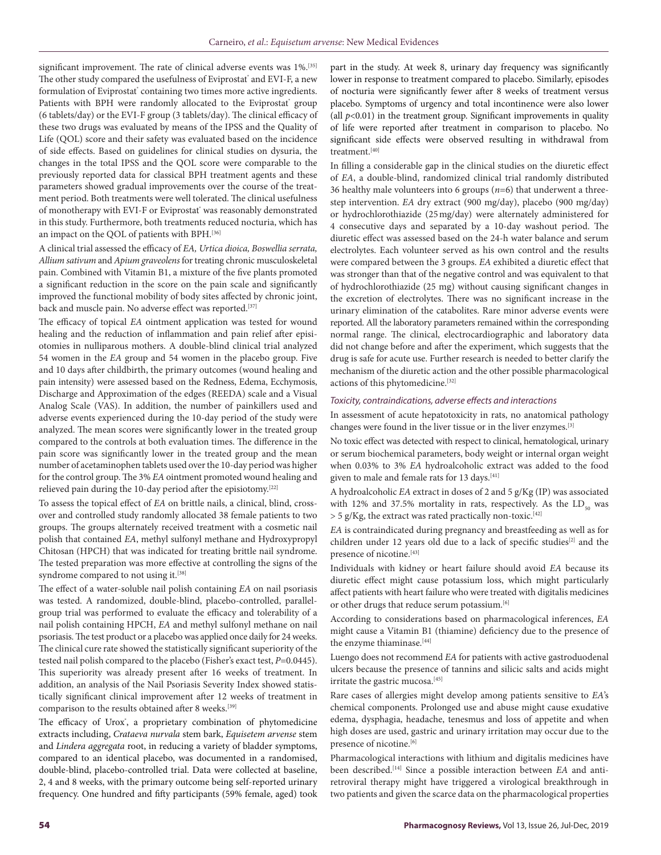significant improvement. The rate of clinical adverse events was 1%.<sup>[35]</sup> The other study compared the usefulness of Eviprostat' and EVI-F, a new formulation of Eviprostat' containing two times more active ingredients. Patients with BPH were randomly allocated to the Eviprostat' group (6 tablets/day) or the EVI-F group (3 tablets/day). The clinical efficacy of these two drugs was evaluated by means of the IPSS and the Quality of Life (QOL) score and their safety was evaluated based on the incidence of side effects. Based on guidelines for clinical studies on dysuria, the changes in the total IPSS and the QOL score were comparable to the previously reported data for classical BPH treatment agents and these parameters showed gradual improvements over the course of the treatment period. Both treatments were well tolerated. The clinical usefulness of monotherapy with EVI-F or Eviprostat' was reasonably demonstrated in this study. Furthermore, both treatments reduced nocturia, which has an impact on the QOL of patients with BPH.[36]

A clinical trial assessed the efficacy of *EA, Urtica dioica, Boswellia serrata, Allium sativum* and *Apium graveolens* for treating chronic musculoskeletal pain. Combined with Vitamin B1, a mixture of the five plants promoted a significant reduction in the score on the pain scale and significantly improved the functional mobility of body sites affected by chronic joint, back and muscle pain. No adverse effect was reported.<sup>[37]</sup>

The efficacy of topical *EA* ointment application was tested for wound healing and the reduction of inflammation and pain relief after episiotomies in nulliparous mothers. A double-blind clinical trial analyzed 54 women in the *EA* group and 54 women in the placebo group. Five and 10 days after childbirth, the primary outcomes (wound healing and pain intensity) were assessed based on the Redness, Edema, Ecchymosis, Discharge and Approximation of the edges (REEDA) scale and a Visual Analog Scale (VAS). In addition, the number of painkillers used and adverse events experienced during the 10-day period of the study were analyzed. The mean scores were significantly lower in the treated group compared to the controls at both evaluation times. The difference in the pain score was significantly lower in the treated group and the mean number of acetaminophen tablets used over the 10-day period was higher for the control group. The 3% *EA* ointment promoted wound healing and relieved pain during the 10-day period after the episiotomy.<sup>[22]</sup>

To assess the topical effect of *EA* on brittle nails, a clinical, blind, crossover and controlled study randomly allocated 38 female patients to two groups. The groups alternately received treatment with a cosmetic nail polish that contained *EA*, methyl sulfonyl methane and Hydroxypropyl Chitosan (HPCH) that was indicated for treating brittle nail syndrome. The tested preparation was more effective at controlling the signs of the syndrome compared to not using it.<sup>[38]</sup>

The effect of a water-soluble nail polish containing *EA* on nail psoriasis was tested. A randomized, double-blind, placebo-controlled, parallelgroup trial was performed to evaluate the efficacy and tolerability of a nail polish containing HPCH, *EA* and methyl sulfonyl methane on nail psoriasis. The test product or a placebo was applied once daily for 24 weeks. The clinical cure rate showed the statistically significant superiority of the tested nail polish compared to the placebo (Fisher's exact test, *P*=0.0445). This superiority was already present after 16 weeks of treatment. In addition, an analysis of the Nail Psoriasis Severity Index showed statistically significant clinical improvement after 12 weeks of treatment in comparison to the results obtained after 8 weeks.[39]

The efficacy of Urox', a proprietary combination of phytomedicine extracts including, *Crataeva nurvala* stem bark, *Equisetem arvense* stem and *Lindera aggregata* root, in reducing a variety of bladder symptoms, compared to an identical placebo, was documented in a randomised, double-blind, placebo-controlled trial. Data were collected at baseline, 2, 4 and 8 weeks, with the primary outcome being self-reported urinary frequency. One hundred and fifty participants (59% female, aged) took

part in the study. At week 8, urinary day frequency was significantly lower in response to treatment compared to placebo. Similarly, episodes of nocturia were significantly fewer after 8 weeks of treatment versus placebo. Symptoms of urgency and total incontinence were also lower (all  $p<0.01$ ) in the treatment group. Significant improvements in quality of life were reported after treatment in comparison to placebo. No significant side effects were observed resulting in withdrawal from treatment.[40]

In filling a considerable gap in the clinical studies on the diuretic effect of *EA*, a double-blind, randomized clinical trial randomly distributed 36 healthy male volunteers into 6 groups (*n*=6) that underwent a threestep intervention. *EA* dry extract (900 mg/day), placebo (900 mg/day) or hydrochlorothiazide (25mg/day) were alternately administered for 4 consecutive days and separated by a 10-day washout period. The diuretic effect was assessed based on the 24-h water balance and serum electrolytes. Each volunteer served as his own control and the results were compared between the 3 groups. *EA* exhibited a diuretic effect that was stronger than that of the negative control and was equivalent to that of hydrochlorothiazide (25 mg) without causing significant changes in the excretion of electrolytes. There was no significant increase in the urinary elimination of the catabolites. Rare minor adverse events were reported. All the laboratory parameters remained within the corresponding normal range. The clinical, electrocardiographic and laboratory data did not change before and after the experiment, which suggests that the drug is safe for acute use. Further research is needed to better clarify the mechanism of the diuretic action and the other possible pharmacological actions of this phytomedicine.[32]

#### *Toxicity, contraindications, adverse effects and interactions*

In assessment of acute hepatotoxicity in rats, no anatomical pathology changes were found in the liver tissue or in the liver enzymes.[3]

No toxic effect was detected with respect to clinical, hematological, urinary or serum biochemical parameters, body weight or internal organ weight when 0.03% to 3% *EA* hydroalcoholic extract was added to the food given to male and female rats for 13 days.[41]

A hydroalcoholic *EA* extract in doses of 2 and 5 g/Kg (IP) was associated with 12% and 37.5% mortality in rats, respectively. As the  $LD_{50}$  was  $>$  5 g/Kg, the extract was rated practically non-toxic.<sup>[42]</sup>

*EA* is contraindicated during pregnancy and breastfeeding as well as for children under 12 years old due to a lack of specific studies<sup>[2]</sup> and the presence of nicotine.<sup>[43]</sup>

Individuals with kidney or heart failure should avoid *EA* because its diuretic effect might cause potassium loss, which might particularly affect patients with heart failure who were treated with digitalis medicines or other drugs that reduce serum potassium.<sup>[6]</sup>

According to considerations based on pharmacological inferences, *EA* might cause a Vitamin B1 (thiamine) deficiency due to the presence of the enzyme thiaminase.<sup>[44]</sup>

Luengo does not recommend *EA* for patients with active gastroduodenal ulcers because the presence of tannins and silicic salts and acids might irritate the gastric mucosa.[45]

Rare cases of allergies might develop among patients sensitive to *EA*'s chemical components. Prolonged use and abuse might cause exudative edema, dysphagia, headache, tenesmus and loss of appetite and when high doses are used, gastric and urinary irritation may occur due to the presence of nicotine.<sup>[6]</sup>

Pharmacological interactions with lithium and digitalis medicines have been described.[14] Since a possible interaction between *EA* and antiretroviral therapy might have triggered a virological breakthrough in two patients and given the scarce data on the pharmacological properties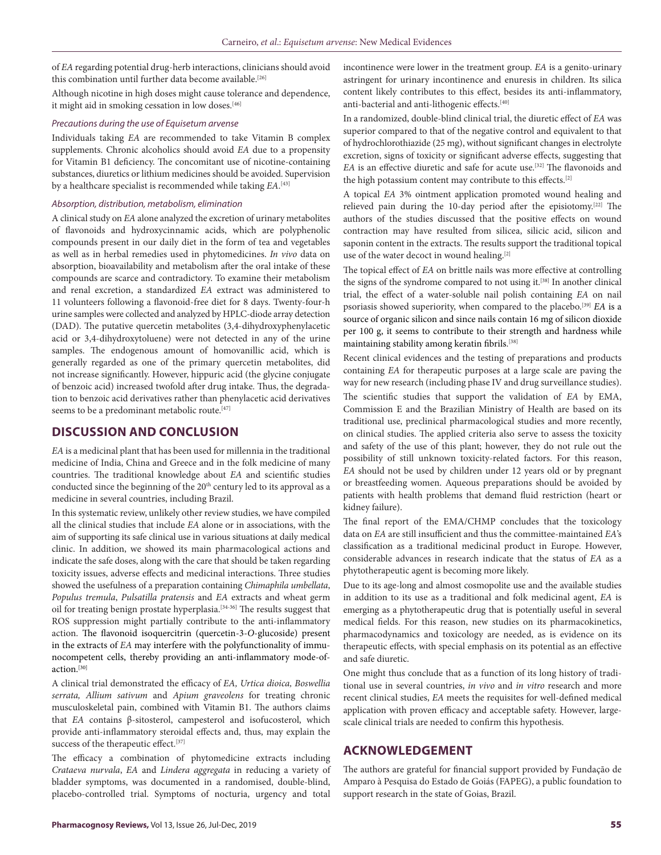of *EA* regarding potential drug-herb interactions, clinicians should avoid this combination until further data become available.<sup>[26]</sup>

Although nicotine in high doses might cause tolerance and dependence, it might aid in smoking cessation in low doses.<sup>[46]</sup>

#### *Precautions during the use of Equisetum arvense*

Individuals taking *EA* are recommended to take Vitamin B complex supplements. Chronic alcoholics should avoid *EA* due to a propensity for Vitamin B1 deficiency. The concomitant use of nicotine-containing substances, diuretics or lithium medicines should be avoided. Supervision by a healthcare specialist is recommended while taking *EA*. [43]

#### *Absorption, distribution, metabolism, elimination*

A clinical study on *EA* alone analyzed the excretion of urinary metabolites of flavonoids and hydroxycinnamic acids, which are polyphenolic compounds present in our daily diet in the form of tea and vegetables as well as in herbal remedies used in phytomedicines. *In vivo* data on absorption, bioavailability and metabolism after the oral intake of these compounds are scarce and contradictory. To examine their metabolism and renal excretion, a standardized *EA* extract was administered to 11 volunteers following a flavonoid-free diet for 8 days. Twenty-four-h urine samples were collected and analyzed by HPLC-diode array detection (DAD). The putative quercetin metabolites (3,4-dihydroxyphenylacetic acid or 3,4-dihydroxytoluene) were not detected in any of the urine samples. The endogenous amount of homovanillic acid, which is generally regarded as one of the primary quercetin metabolites, did not increase significantly. However, hippuric acid (the glycine conjugate of benzoic acid) increased twofold after drug intake. Thus, the degradation to benzoic acid derivatives rather than phenylacetic acid derivatives seems to be a predominant metabolic route.<sup>[47]</sup>

# **DISCUSSION AND CONCLUSION**

*EA* is a medicinal plant that has been used for millennia in the traditional medicine of India, China and Greece and in the folk medicine of many countries. The traditional knowledge about *EA* and scientific studies conducted since the beginning of the 20<sup>th</sup> century led to its approval as a medicine in several countries, including Brazil.

In this systematic review, unlikely other review studies, we have compiled all the clinical studies that include *EA* alone or in associations, with the aim of supporting its safe clinical use in various situations at daily medical clinic. In addition, we showed its main pharmacological actions and indicate the safe doses, along with the care that should be taken regarding toxicity issues, adverse effects and medicinal interactions. Three studies showed the usefulness of a preparation containing *Chimaphila umbellata*, *Populus tremula*, *Pulsatilla pratensis* and *EA* extracts and wheat germ oil for treating benign prostate hyperplasia.[34-36] The results suggest that ROS suppression might partially contribute to the anti-inflammatory action. The flavonoid isoquercitrin (quercetin-3-*O*-glucoside) present in the extracts of *EA* may interfere with the polyfunctionality of immunocompetent cells, thereby providing an anti-inflammatory mode-ofaction.[30]

A clinical trial demonstrated the efficacy of *EA, Urtica dioica, Boswellia serrata, Allium sativum* and *Apium graveolens* for treating chronic musculoskeletal pain, combined with Vitamin B1. The authors claims that *EA* contains β-sitosterol, campesterol and isofucosterol, which provide anti-inflammatory steroidal effects and, thus, may explain the success of the therapeutic effect.<sup>[37]</sup>

The efficacy a combination of phytomedicine extracts including *Crataeva nurvala*, *EA* and *Lindera aggregata* in reducing a variety of bladder symptoms, was documented in a randomised, double-blind, placebo-controlled trial. Symptoms of nocturia, urgency and total

incontinence were lower in the treatment group. *EA* is a genito-urinary astringent for urinary incontinence and enuresis in children. Its silica content likely contributes to this effect, besides its anti-inflammatory, anti-bacterial and anti-lithogenic effects.<sup>[40]</sup>

In a randomized, double-blind clinical trial, the diuretic effect of *EA* was superior compared to that of the negative control and equivalent to that of hydrochlorothiazide (25 mg), without significant changes in electrolyte excretion, signs of toxicity or significant adverse effects, suggesting that *EA* is an effective diuretic and safe for acute use.<sup>[32]</sup> The flavonoids and the high potassium content may contribute to this effects.[2]

A topical *EA* 3% ointment application promoted wound healing and relieved pain during the 10-day period after the episiotomy.[22] The authors of the studies discussed that the positive effects on wound contraction may have resulted from silicea, silicic acid, silicon and saponin content in the extracts. The results support the traditional topical use of the water decoct in wound healing.<sup>[2]</sup>

The topical effect of *EA* on brittle nails was more effective at controlling the signs of the syndrome compared to not using it.<sup>[38]</sup> In another clinical trial, the effect of a water-soluble nail polish containing *EA* on nail psoriasis showed superiority, when compared to the placebo.[39] *EA* is a source of organic silicon and since nails contain 16 mg of silicon dioxide per 100 g, it seems to contribute to their strength and hardness while maintaining stability among keratin fibrils. [38]

Recent clinical evidences and the testing of preparations and products containing *EA* for therapeutic purposes at a large scale are paving the way for new research (including phase IV and drug surveillance studies).

The scientific studies that support the validation of *EA* by EMA, Commission E and the Brazilian Ministry of Health are based on its traditional use, preclinical pharmacological studies and more recently, on clinical studies. The applied criteria also serve to assess the toxicity and safety of the use of this plant; however, they do not rule out the possibility of still unknown toxicity-related factors. For this reason, *EA* should not be used by children under 12 years old or by pregnant or breastfeeding women. Aqueous preparations should be avoided by patients with health problems that demand fluid restriction (heart or kidney failure).

The final report of the EMA/CHMP concludes that the toxicology data on *EA* are still insufficient and thus the committee-maintained *EA*'s classification as a traditional medicinal product in Europe. However, considerable advances in research indicate that the status of *EA* as a phytotherapeutic agent is becoming more likely.

Due to its age-long and almost cosmopolite use and the available studies in addition to its use as a traditional and folk medicinal agent, *EA* is emerging as a phytotherapeutic drug that is potentially useful in several medical fields. For this reason, new studies on its pharmacokinetics, pharmacodynamics and toxicology are needed, as is evidence on its therapeutic effects, with special emphasis on its potential as an effective and safe diuretic.

One might thus conclude that as a function of its long history of traditional use in several countries, *in vivo* and *in vitro* research and more recent clinical studies, *EA* meets the requisites for well-defined medical application with proven efficacy and acceptable safety. However, largescale clinical trials are needed to confirm this hypothesis.

# **ACKNOWLEDGEMENT**

The authors are grateful for financial support provided by Fundação de Amparo à Pesquisa do Estado de Goiás (FAPEG), a public foundation to support research in the state of Goias, Brazil.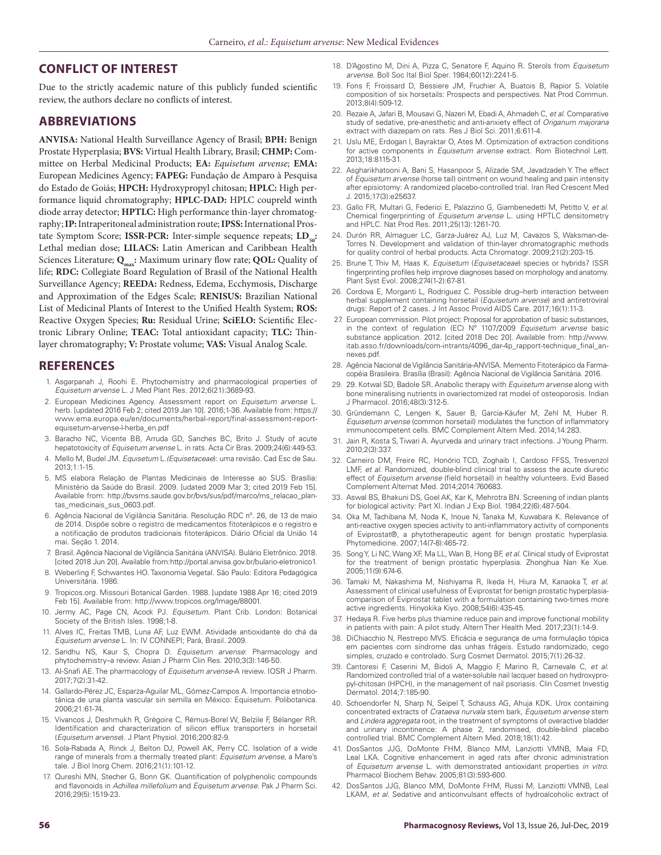## **CONFLICT OF INTEREST**

Due to the strictly academic nature of this publicly funded scientific review, the authors declare no conflicts of interest.

# **ABBREVIATIONS**

**ANVISA:** National Health Surveillance Agency of Brasil; **BPH:** Benign Prostate Hyperplasia; **BVS:** Virtual Health Library, Brasil; **CHMP:** Committee on Herbal Medicinal Products; **EA:** *Equisetum arvense*; **EMA:**  European Medicines Agency; **FAPEG:** Fundação de Amparo à Pesquisa do Estado de Goiás; **HPCH:** Hydroxypropyl chitosan; **HPLC:** High performance liquid chromatography; **HPLC-DAD:** HPLC coupreld winth diode array detector; **HPTLC:** High performance thin-layer chromatography; **IP:** Intraperitoneal administration route; **IPSS:** International Prostate Symptom Score; **ISSR-PCR:** Inter-simple sequence repeats; **LD**<sub>co</sub>: Lethal median dose; **LILACS:** Latin American and Caribbean Health Sciences Literature; Q<sub>max</sub>: Maximum urinary flow rate; QOL: Quality of life; **RDC:** Collegiate Board Regulation of Brasil of the National Health Surveillance Agency; **REEDA:** Redness, Edema, Ecchymosis, Discharge and Approximation of the Edges Scale; **RENISUS:** Brazilian National List of Medicinal Plants of Interest to the Unified Health System; **ROS:** Reactive Oxygen Species; **Ru:** Residual Urine; **SciELO:** Scientific Electronic Library Online; **TEAC:** Total antioxidant capacity; **TLC:** Thinlayer chromatography; **V:** Prostate volume; **VAS:** Visual Analog Scale.

### **REFERENCES**

- 1. Asgarpanah J, Roohi E. Phytochemistry and pharmacological properties of *Equisetum arvense* L. J Med Plant Res. 2012;6(21):3689-93.
- 2. European Medicines Agency. Assessment report on *Equisetum arvense* L. herb. [updated 2016 Feb 2; cited 2019 Jan 10]. 2016;1-36. Available from: https:// www.ema.europa.eu/en/documents/herbal-report/final-assessment-reportequisetum-arvense-l-herba\_en.pdf
- 3. Baracho NC, Vicente BB, Arruda GD, Sanches BC, Brito J. Study of acute hepatotoxicity of *Equisetum arvense* L. in rats. Acta Cir Bras. 2009;24(6):449-53.
- 4. Mello M, Budel JM. *Equisetum* L.*(Equisetaceae*): uma revisão. Cad Esc de Sau. 2013;1:1-15.
- 5. MS elabora Relação de Plantas Medicinais de Interesse ao SUS. Brasília: Ministério da Saúde do Brasil. 2009. [udated 2009 Mar 3; cited 2019 Feb 15]. Available from: http://bvsms.saude.gov.br/bvs/sus/pdf/marco/ms\_relacao\_plantas\_medicinais\_sus\_0603.pdf.
- 6. Agência Nacional de Vigilância Sanitária. Resolução RDC nº. 26, de 13 de maio de 2014. Dispõe sobre o registro de medicamentos fitoterápicos e o registro e a notificação de produtos tradicionais fitoterápicos. Diário Oficial da União 14 mai. Seção 1. 2014.
- 7. Brasil. Agência Nacional de Vigilância Sanitária (ANVISA). Bulário Eletrônico. 2018. [cited 2018 Jun 20]. Available from:http://portal.anvisa.gov.br/bulario-eletronico1.
- 8. Weberling F, Schwantes HO. Taxonomia Vegetal. São Paulo: Editora Pedagógica Universitária. 1986.
- 9. Tropicos.org. Missouri Botanical Garden. 1988. [update 1988 Apr 16; cited 2019 Feb 15]. Available from: http://www.tropicos.org/Image/88001.
- 10. Jermy AC, Page CN, Acock PJ. *Equisetum*. Plant Crib. London: Botanical Society of the British Isles. 1998;1-8.
- 11. Alves IC, Freitas TMB, Luna AF, Luz EWM. Atividade antioxidante do chá da *Equisetum arvense* L. In: IV CONNEPI; Pará, Brasil. 2009.
- 12. Sandhu NS, Kaur S, Chopra D. *Equisetum arvense*: Pharmacology and phytochemistry–a review. Asian J Pharm Clin Res. 2010;3(3):146-50.
- 13. Al-Snafi AE. The pharmacology of *Equisetum arvense*-A review. IOSR J Pharm. 2017;7(2):31-42.
- 14. Gallardo-Pérez JC, Esparza-Aguilar ML, Gómez-Campos A. Importancia etnobotánica de una planta vascular sin semilla en México: Equisetum. Polibotanica. 2006;21:61-74.
- 15. Vivancos J, Deshmukh R, Grégoire C, Rémus-Borel W, Belzile F, Bélanger RR. Identification and characterization of silicon efflux transporters in horsetail (*Equisetum arvense*). J Plant Physiol. 2016;200:82-9.
- 16. Sola-Rabada A, Rinck J, Belton DJ, Powell AK, Perry CC. Isolation of a wide range of minerals from a thermally treated plant: *Equisetum arvense*, a Mare's tale. J Biol Inorg Chem. 2016;21(1):101-12.
- 17. Qureshi MN, Stecher G, Bonn GK. Quantification of polyphenolic compounds and flavonoids in *Achillea millefolium* and *Equisetum arvense*. Pak J Pharm Sci. 2016;29(5):1519-23.
- 18. D'Agostino M, Dini A, Pizza C, Senatore F, Aquino R. Sterols from *Equisetum arvense*. Boll Soc Ital Biol Sper. 1984;60(12):2241-5.
- 19. Fons F, Froissard D, Bessiere JM, Fruchier A, Buatois B, Rapior S. Volatile composition of six horsetails: Prospects and perspectives. Nat Prod Commun. 2013;8(4):509-12.
- 20. Rezaie A, Jafari B, Mousavi G, Nazeri M, Ebadi A, Ahmadeh C, *et al*. Comparative study of sedative, pre-anesthetic and anti-anxiety effect of *Origanum majorana* extract with diazepam on rats. Res J Biol Sci. 2011;6:611-4.
- 21. Uslu ME, Erdogan I, Bayraktar O, Ates M. Optimization of extraction conditions for active components in *Equisetum arvense* extract. Rom Biotechnol Lett. 2013;18:8115-31.
- 22. Asgharikhatooni A, Bani S, Hasanpoor S, Alizade SM, Javadzadeh Y. The effect of *Equisetum arvense* (horse tail) ointment on wound healing and pain intensity after episiotomy: A randomized placebo-controlled trial. Iran Red Crescent Med J. 2015;17(3):e25637.
- 23. Gallo FR, Multari G, Federici E, Palazzino G, Giambenedetti M, Petitto V, *et al*. Chemical fingerprinting of *Equisetum arvense* L. using HPTLC densitometry and HPLC. Nat Prod Res. 2011;25(13):1261-70.
- 24. Durón RR, Almaguer LC, Garza-Juárez AJ, Luz M, Cavazos S, Waksman-de-Torres N. Development and validation of thin-layer chromatographic methods for quality control of herbal products. Acta Chromatogr. 2009;21(2):203-15.
- 25. Brune T, Thiv M, Haas K. *Equisetum* (*Equisetaceae*) species or hybrids? ISSR fingerprinting profiles help improve diagnoses based on morphology and anatomy. Plant Syst Evol. 2008;274(1-2):67-81.
- 26. Cordova E, Morganti L, Rodriguez C. Possible drug–herb interaction between herbal supplement containing horsetail (*Equisetum arvense*) and antiretroviral drugs: Report of 2 cases. J Int Assoc Provid AIDS Care. 2017;16(1):11-3.
- 27. European commission. Pilot project: Proposal for approbation of basic substances, in the context of regulation (EC) Nº 1107/2009 *Equisetum arvense* basic substance application. 2012. [cited 2018 Dec 20]. Available from: http://www. itab.asso.fr/downloads/com-intrants/4096\_dar-4p\_rapport-technique\_final\_annexes.pdf.
- 28. Agência Nacional de Vigilância Sanitária-ANVISA. Memento Fitoterápico da Farmacopéia Brasileira. Brasília (Brasil): Agência Nacional de Vigilância Sanitária. 2016.
- 29. 29. Kotwal SD, Badole SR. Anabolic therapy with *Equisetum arvense* along with bone mineralising nutrients in ovariectomized rat model of osteoporosis. Indian J Pharmacol. 2016;48(3):312-5.
- 30. Gründemann C, Lengen K, Sauer B, Garcia-Käufer M, Zehl M, Huber R. *Equisetum arvense* (common horsetail) modulates the function of inflammatory immunocompetent cells. BMC Complement Altern Med. 2014;14:283.
- 31. Jain R, Kosta S, Tiwari A. Ayurveda and urinary tract infections. J Young Pharm. 2010;2(3):337.
- 32. Carneiro DM, Freire RC, Honório TCD, Zoghaib I, Cardoso FFSS, Tresvenzol LMF, *et al*. Randomized, double-blind clinical trial to assess the acute diuretic effect of *Equisetum arvense* (field horsetail) in healthy volunteers. Evid Based Complement Alternat Med. 2014;2014:760683.
- 33. Aswal BS, Bhakuni DS, Goel AK, Kar K, Mehrotra BN. Screening of indian plants for biological activity: Part XI. Indian J Exp Biol. 1984;22(6):487-504.
- 34. Oka M, Tachibana M, Noda K, Inoue N, Tanaka M, Kuwabara K. Relevance of anti-reactive oxygen species activity to anti-inflammatory activity of components of Eviprostat®, a phytotherapeutic agent for benign prostatic hyperplasia. Phytomedicine. 2007;14(7-8):465-72.
- 35. Song Y, Li NC, Wang XF, Ma LL, Wan B, Hong BF, *et al*. Clinical study of Eviprostat for the treatment of benign prostatic hyperplasia. Zhonghua Nan Ke Xue. 2005;11(9):674-6.
- 36. Tamaki M, Nakashima M, Nishiyama R, Ikeda H, Hiura M, Kanaoka T, *et al*. Assessment of clinical usefulness of Eviprostat for benign prostatic hyperplasiacomparison of Eviprostat tablet with a formulation containing two-times more active ingredients. Hinyokika Kiyo. 2008;54(6):435-45.
- 37. Hedaya R. Five herbs plus thiamine reduce pain and improve functional mobility in patients with pain: A pilot study. Altern Ther Health Med. 2017;23(1):14-9.
- 38. DiChiacchio N, Restrepo MVS. Eficácia e segurança de uma formulação tópica em pacientes com síndrome das unhas frágeis. Estudo randomizado, cego simples, cruzado e controlado. Surg Cosmet Dermatol. 2015;7(1):26-32.
- 39. Cantoresi F, Caserini M, Bidoli A, Maggio F, Marino R, Carnevale C, *et al*. Randomized controlled trial of a water-soluble nail lacquer based on hydroxypropyl-chitosan (HPCH), in the management of nail psoriasis. Clin Cosmet Investig Dermatol. 2014;7:185-90.
- 40. Schoendorfer N, Sharp N, Seipel T, Schauss AG, Ahuja KDK. Urox containing concentrated extracts of *Crataeva nurvala* stem bark, *Equisetum arvense* stem and *Lindera aggregata* root, in the treatment of symptoms of overactive bladder and urinary incontinence: A phase 2, randomised, double-blind placebo controlled trial. BMC Complement Altern Med. 2018;18(1):42.
- 41. DosSantos JJG, DoMonte FHM, Blanco MM, Lanziotti VMNB, Maia FD, Leal LKA. Cognitive enhancement in aged rats after chronic administration of *Equisetum arvense* L. with demonstrated antioxidant properties *in vitro*. Pharmacol Biochem Behav. 2005;81(3):593-600.
- 42. DosSantos JJG, Blanco MM, DoMonte FHM, Russi M, Lanziotti VMNB, Leal LKAM, *et al*. Sedative and anticonvulsant effects of hydroalcoholic extract of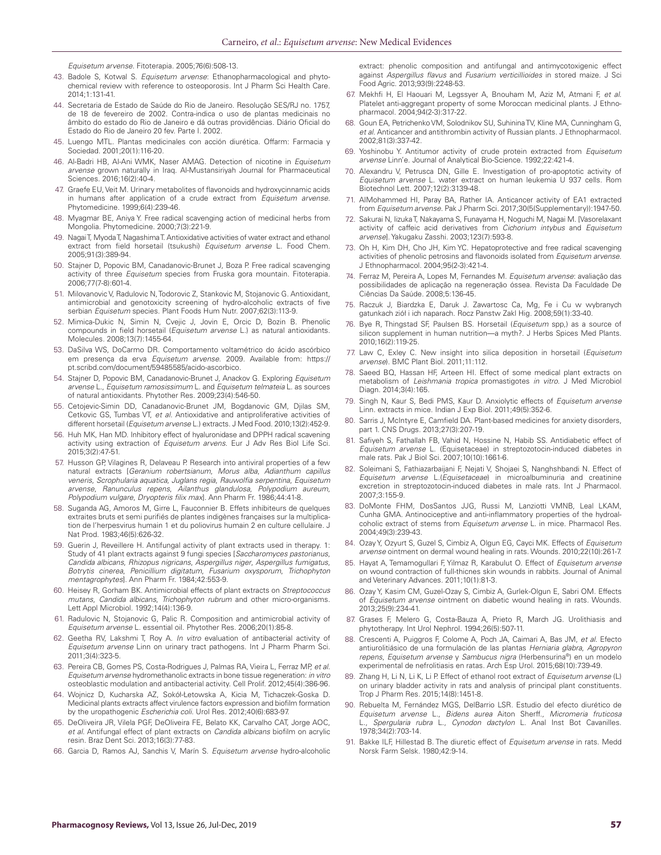*Equisetum arvense*. Fitoterapia. 2005;76(6):508-13.

- 43. Badole S, Kotwal S. *Equisetum arvense*: Ethanopharmacological and phytochemical review with reference to osteoporosis. Int J Pharm Sci Health Care. 2014;1:131-41.
- 44. Secretaria de Estado de Saúde do Rio de Janeiro. Resolução SES/RJ no. 1757, de 18 de fevereiro de 2002. Contra-indica o uso de plantas medicinais no âmbito do estado do Rio de Janeiro e dá outras providências. Diário Oficial do Estado do Rio de Janeiro 20 fev. Parte I. 2002.
- 45. Luengo MTL. Plantas medicinales con acción diurética. Offarm: Farmacia y Sociedad. 2001;20(1):116-20.
- 46. Al-Badri HB, Al-Ani WMK, Naser AMAG. Detection of nicotine in *Equisetum arvense* grown naturally in Iraq. Al-Mustansiriyah Journal for Pharmaceutical Sciences. 2016;16(2):40-4.
- 47. Graefe EU, Veit M. Urinary metabolites of flavonoids and hydroxycinnamic acids in humans after application of a crude extract from *Equisetum arvense*. Phytomedicine. 1999;6(4):239-46.
- 48. Myagmar BE, Aniya Y. Free radical scavenging action of medicinal herbs from Mongolia. Phytomedicine. 2000;7(3):221-9.
- 49. Nagai T, Myoda T, Nagashima T. Antioxidative activities of water extract and ethanol extract from field horsetail (tsukushi) *Equisetum arvense* L. Food Chem. 2005;91(3):389-94.
- 50. Stajner D, Popovic BM, Canadanovic-Brunet J, Boza P. Free radical scavenging activity of three *Equisetum* species from Fruska gora mountain. Fitoterapia. 2006;77(7-8):601-4.
- 51. Milovanovic V, Radulovic N, Todorovic Z, Stankovic M, Stojanovic G. Antioxidant, antimicrobial and genotoxicity screening of hydro-alcoholic extracts of five serbian *Equisetum* species. Plant Foods Hum Nutr. 2007;62(3):113-9.
- 52. Mimica-Dukic N, Simin N, Cvejic J, Jovin E, Orcic D, Bozin B. Phenolic compounds in field horsetail (*Equisetum arvense* L.) as natural antioxidants. Molecules. 2008;13(7):1455-64.
- 53. DaSilva WS, DoCarmo DR. Comportamento voltamétrico do ácido ascórbico em presença da erva *Equisetum arvense*. 2009. Available from: https:// pt.scribd.com/document/59485585/acido-ascorbico.
- 54. Stajner D, Popovic BM, Canadanovic-Brunet J, Anackov G. Exploring *Equisetum arvense* L., *Equisetum ramosissimum* L. and *Equisetum telmateia* L. as sources of natural antioxidants. Phytother Res. 2009;23(4):546-50.
- 55. Cetojevic-Simin DD, Canadanovic-Brunet JM, Bogdanovic GM, Djilas SM, Cetkovic GS, Tumbas VT, *et al.* Antioxidative and antiproliferative activities of different horsetail (*Equisetum arvense* L.) extracts. J Med Food. 2010;13(2):452-9.
- 56. Huh MK, Han MD. Inhibitory effect of hyaluronidase and DPPH radical scavening activity using extraction of *Equisetum arvens*. Eur J Adv Res Biol Life Sci. 2015;3(2):47-51.
- 57. Husson GP, Vilagines R, Delaveau P. Research into antiviral properties of a few natural extracts [*Geranium robertsianum*, *Morus alba*, *Adianthum capillus veneris*, *Scrophularia aquatica*, *Juglans regia*, *Rauwolfia serpentina*, *Equisetum arvense*, *Ranunculus repens*, *Ailanthus glandulosa*, *Polypodium aureum*, *Polypodium vulgare*, *Dryopteris filix max*]. Ann Pharm Fr. 1986;44:41-8.
- 58. Suganda AG, Amoros M, Girre L, Fauconnier B. Effets inhibiteurs de quelques extraites bruts et semi purifiés de plantes indigènes françaises sur la multiplication de l'herpesvirus humain 1 et du poliovirus humain 2 en culture cellulaire. J Nat Prod. 1983;46(5):626-32.
- 59. Guerin J, Reveillere H. Antifungal activity of plant extracts used in therapy. 1: Study of 41 plant extracts against 9 fungi species [*Saccharomyces pastorianus*, *Candida albicans*, *Rhizopus nigricans*, *Aspergillus niger*, *Aspergillus fumigatus*, *Botrytis cinerea*, *Penicillium digitatum*, *Fusarium oxysporum*, *Trichophyton mentagrophytes*]. Ann Pharm Fr. 1984;42:553-9.
- 60. Heisey R, Gorham BK. Antimicrobial effects of plant extracts on *Streptococcus mutans*, *Candida albicans*, *Trichophyton rubrum* and other micro‐organisms. Lett Appl Microbiol. 1992;14(4):136-9.
- 61. Radulovic N, Stojanovic G, Palic R. Composition and antimicrobial activity of *Equisetum arvense* L. essential oil. Phytother Res. 2006;20(1):85-8.
- 62. Geetha RV, Lakshmi T, Roy A. *In vitro* evaluation of antibacterial activity of *Equisetum arvense* Linn on urinary tract pathogens. Int J Pharm Pharm Sci. 2011;3(4):323-5.
- 63. Pereira CB, Gomes PS, Costa‐Rodrigues J, Palmas RA, Vieira L, Ferraz MP, *et al*. *Equisetum arvense* hydromethanolic extracts in bone tissue regeneration: *in vitro* osteoblastic modulation and antibacterial activity. Cell Prolif. 2012;45(4):386-96.
- 64. Wojnicz D, Kucharska AZ, Sokół-Łetowska A, Kicia M, Tichaczek-Goska D. Medicinal plants extracts affect virulence factors expression and biofilm formation by the uropathogenic *Escherichia coli*. Urol Res. 2012;40(6):683-97.
- 65. DeOliveira JR, Vilela PGF, DeOliveira FE, Belato KK, Carvalho CAT, Jorge AOC, *et al*. Antifungal effect of plant extracts on *Candida albicans* biofilm on acrylic resin. Braz Dent Sci. 2013;16(3):77-83.
- 66. Garcia D, Ramos AJ, Sanchis V, Marín S. *Equisetum arvense* hydro‐alcoholic

extract: phenolic composition and antifungal and antimycotoxigenic effect against *Aspergillus flavus* and *Fusarium verticillioides* in stored maize. J Sci Food Agric. 2013;93(9):2248-53.

- 67. Mekhfi H, El Haouari M, Legssyer A, Bnouham M, Aziz M, Atmani F, *et al*. Platelet anti-aggregant property of some Moroccan medicinal plants. J Ethnopharmacol. 2004;94(2-3):317-22.
- 68. Goun EA, Petrichenko VM, Solodnikov SU, Suhinina TV, Kline MA, Cunningham G, *et al*. Anticancer and antithrombin activity of Russian plants. J Ethnopharmacol. 2002;81(3):337-42.
- 69. Yoshinobu Y. Antitumor activity of crude protein extracted from *Equisetum arvense* Linn'e. Journal of Analytical Bio-Science. 1992;22:421-4.
- 70. Alexandru V, Petrusca DN, Gille E. Investigation of pro-apoptotic activity of *Equisetum arvense* L. water extract on human leukemia U 937 cells. Rom Biotechnol Lett. 2007;12(2):3139-48.
- 71. AlMohammed HI, Paray BA, Rather IA. Anticancer activity of EA1 extracted from *Equisetum arvense*. Pak J Pharm Sci. 2017;30(5(Supplementary)):1947-50.
- 72. Sakurai N, Iizuka T, Nakayama S, Funayama H, Noguchi M, Nagai M. [Vasorelaxant activity of caffeic acid derivatives from *Cichorium intybus* and *Equisetum arvense*]. Yakugaku Zasshi. 2003;123(7):593-8.
- 73. Oh H, Kim DH, Cho JH, Kim YC. Hepatoprotective and free radical scavenging activities of phenolic petrosins and flavonoids isolated from *Equisetum arvense*. J Ethnopharmacol. 2004;95(2-3):421-4.
- 74. Ferraz M, Pereira A, Lopes M, Fernandes M. *Equisetum arvense*: avaliação das possibilidades de aplicação na regeneração óssea. Revista Da Faculdade De Ciências Da Saúde. 2008;5:136-45.
- 75. Raczuk J, Biardzka E, Daruk J. Zawartosc Ca, Mg, Fe i Cu w wybranych gatunkach ziół i ich naparach. Rocz Panstw Zakl Hig. 2008;59(1):33-40.
- 76. Bye R, Thingstad SF, Paulsen BS. Horsetail (*Equisetum* spp,) as a source of silicon supplement in human nutrition—a myth?. J Herbs Spices Med Plants. 2010;16(2):119-25.
- 77. Law C, Exley C. New insight into silica deposition in horsetail (*Equisetum arvense*). BMC Plant Biol. 2011;11:112.
- 78. Saeed BQ, Hassan HF, Arteen HI. Effect of some medical plant extracts on metabolism of *Leishmania tropica* promastigotes *in vitro*. J Med Microbiol Diagn. 2014;3(4):165.
- 79. Singh N, Kaur S, Bedi PMS, Kaur D. Anxiolytic effects of *Equisetum arvense* Linn. extracts in mice. Indian J Exp Biol. 2011;49(5):352-6.
- 80. Sarris J, McIntyre E, Camfield DA. Plant-based medicines for anxiety disorders, part 1. CNS Drugs. 2013;27(3):207-19.
- 81. Safiyeh S, Fathallah FB, Vahid N, Hossine N, Habib SS. Antidiabetic effect of *Equisetum arvense* L. (Equisetaceae) in streptozotocin-induced diabetes in male rats. Pak J Biol Sci. 2007;10(10):1661-6.
- 82. Soleimani S, Fathiazarbaijani F, Nejati V, Shojaei S, Nanghshbandi N. Effect of *Equisetum arvense* L.(*Equisetaceae*) in microalbuminuria and creatinine excretion in streptozotocin-induced diabetes in male rats. Int J Pharmacol. 2007;3:155-9.
- 83. DoMonte FHM, DosSantos JJG, Russi M, Lanziotti VMNB, Leal LKAM, Cunha GMA. Antinociceptive and anti-inflammatory properties of the hydroalcoholic extract of stems from *Equisetum arvense* L. in mice. Pharmacol Res. 2004;49(3):239-43.
- 84. Ozay Y, Ozyurt S, Guzel S, Cimbiz A, Olgun EG, Cayci MK. Effects of *Equisetum arvense* ointment on dermal wound healing in rats. Wounds. 2010;22(10):261-7.
- 85. Hayat A, Temamogullari F, Yilmaz R, Karabulut O. Effect of *Equisetum arvense* on wound contraction of full-thicnes skin wounds in rabbits. Journal of Animal and Veterinary Advances. 2011;10(1):81-3.
- 86. Ozay Y, Kasim CM, Guzel-Ozay S, Cimbiz A, Gurlek-Olgun E, Sabri OM. Effects of *Equisetum arvense* ointment on diabetic wound healing in rats. Wounds. 2013;25(9):234-41.
- 87. Grases F, Melero G, Costa-Bauza A, Prieto R, March JG. Urolithiasis and phytotherapy. Int Urol Nephrol. 1994;26(5):507-11.
- 88. Crescenti A, Puiggros F, Colome A, Poch JA, Caimari A, Bas JM, *et al*. Efecto antiurolitiásico de una formulación de las plantas *Herniaria glabra*, *Agropyron repens*, *Equisetum arvense* y *Sambucus nigra* (Herbensurina®) en un modelo experimental de nefrolitiasis en ratas. Arch Esp Urol. 2015;68(10):739-49.
- 89. Zhang H, Li N, Li K, Li P. Effect of ethanol root extract of *Equisetum arvense* (L) on urinary bladder activity in rats and analysis of principal plant constituents. Trop J Pharm Res. 2015;14(8):1451-8.
- 90. Rebuelta M, Fernández MGS, DelBarrio LSR. Estudio del efecto diurético de *Equisetum arvense* L., *Bidens aurea* Aiton Sherff., *Micromeria fruticosa* L., *Spergularia rubra* L., *Cynodon dactylon* L. Anal Inst Bot Cavanilles. 1978;34(2):703-14.
- 91. Bakke ILF, Hillestad B. The diuretic effect of *Equisetum arvense* in rats. Medd Norsk Farm Selsk. 1980;42:9-14.